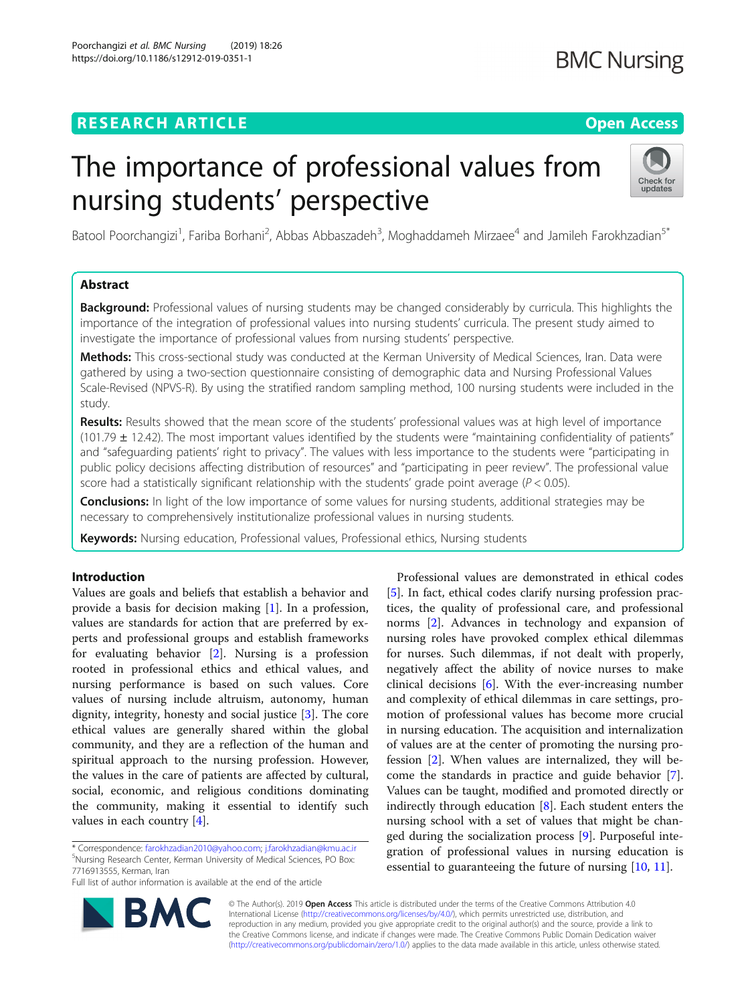## **RESEARCH ARTICLE Example 2014 12:30 The Open Access**

## **BMC Nursing**

# The importance of professional values from nursing students' perspective



Batool Poorchangizi<sup>1</sup>, Fariba Borhani<sup>2</sup>, Abbas Abbaszadeh<sup>3</sup>, Moghaddameh Mirzaee<sup>4</sup> and Jamileh Farokhzadian<sup>5\*</sup>

## Abstract

**Background:** Professional values of nursing students may be changed considerably by curricula. This highlights the importance of the integration of professional values into nursing students' curricula. The present study aimed to investigate the importance of professional values from nursing students' perspective.

Methods: This cross-sectional study was conducted at the Kerman University of Medical Sciences, Iran. Data were gathered by using a two-section questionnaire consisting of demographic data and Nursing Professional Values Scale-Revised (NPVS-R). By using the stratified random sampling method, 100 nursing students were included in the study.

Results: Results showed that the mean score of the students' professional values was at high level of importance (101.79  $\pm$  12.42). The most important values identified by the students were "maintaining confidentiality of patients" and "safeguarding patients' right to privacy". The values with less importance to the students were "participating in public policy decisions affecting distribution of resources" and "participating in peer review". The professional value score had a statistically significant relationship with the students' grade point average ( $P < 0.05$ ).

**Conclusions:** In light of the low importance of some values for nursing students, additional strategies may be necessary to comprehensively institutionalize professional values in nursing students.

Keywords: Nursing education, Professional values, Professional ethics, Nursing students

## Introduction

Values are goals and beliefs that establish a behavior and provide a basis for decision making [\[1](#page-5-0)]. In a profession, values are standards for action that are preferred by experts and professional groups and establish frameworks for evaluating behavior [\[2\]](#page-5-0). Nursing is a profession rooted in professional ethics and ethical values, and nursing performance is based on such values. Core values of nursing include altruism, autonomy, human dignity, integrity, honesty and social justice [\[3](#page-5-0)]. The core ethical values are generally shared within the global community, and they are a reflection of the human and spiritual approach to the nursing profession. However, the values in the care of patients are affected by cultural, social, economic, and religious conditions dominating the community, making it essential to identify such values in each country [[4](#page-5-0)].

\* Correspondence: [farokhzadian2010@yahoo.com](mailto:farokhzadian2010@yahoo.com); [j.farokhzadian@kmu.ac.ir](mailto:j.farokhzadian@kmu.ac.ir) <sup>5</sup> Nursing Research Center, Kerman University of Medical Sciences, PO Box: 7716913555, Kerman, Iran

Full list of author information is available at the end of the article





© The Author(s). 2019 Open Access This article is distributed under the terms of the Creative Commons Attribution 4.0 International License [\(http://creativecommons.org/licenses/by/4.0/](http://creativecommons.org/licenses/by/4.0/)), which permits unrestricted use, distribution, and reproduction in any medium, provided you give appropriate credit to the original author(s) and the source, provide a link to the Creative Commons license, and indicate if changes were made. The Creative Commons Public Domain Dedication waiver [\(http://creativecommons.org/publicdomain/zero/1.0/](http://creativecommons.org/publicdomain/zero/1.0/)) applies to the data made available in this article, unless otherwise stated.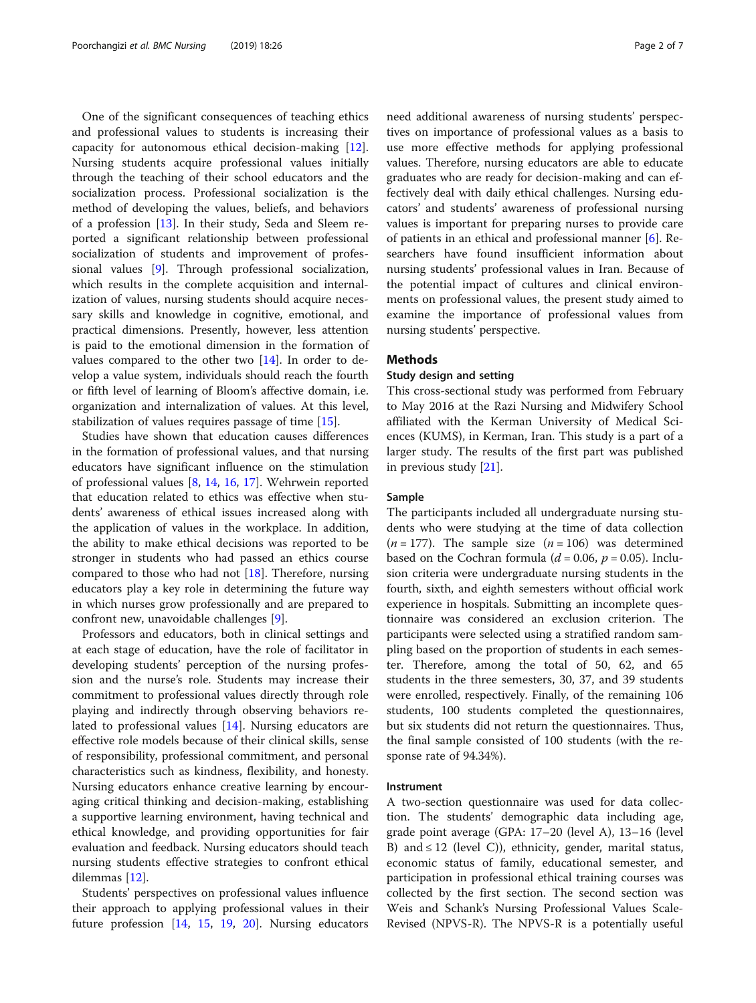One of the significant consequences of teaching ethics and professional values to students is increasing their capacity for autonomous ethical decision-making [\[12](#page-6-0)]. Nursing students acquire professional values initially through the teaching of their school educators and the socialization process. Professional socialization is the method of developing the values, beliefs, and behaviors of a profession [[13\]](#page-6-0). In their study, Seda and Sleem reported a significant relationship between professional socialization of students and improvement of professional values [\[9](#page-6-0)]. Through professional socialization, which results in the complete acquisition and internalization of values, nursing students should acquire necessary skills and knowledge in cognitive, emotional, and practical dimensions. Presently, however, less attention is paid to the emotional dimension in the formation of values compared to the other two  $[14]$  $[14]$ . In order to develop a value system, individuals should reach the fourth or fifth level of learning of Bloom's affective domain, i.e. organization and internalization of values. At this level, stabilization of values requires passage of time [[15\]](#page-6-0).

Studies have shown that education causes differences in the formation of professional values, and that nursing educators have significant influence on the stimulation of professional values [\[8](#page-6-0), [14](#page-6-0), [16](#page-6-0), [17](#page-6-0)]. Wehrwein reported that education related to ethics was effective when students' awareness of ethical issues increased along with the application of values in the workplace. In addition, the ability to make ethical decisions was reported to be stronger in students who had passed an ethics course compared to those who had not  $[18]$  $[18]$ . Therefore, nursing educators play a key role in determining the future way in which nurses grow professionally and are prepared to confront new, unavoidable challenges [[9](#page-6-0)].

Professors and educators, both in clinical settings and at each stage of education, have the role of facilitator in developing students' perception of the nursing profession and the nurse's role. Students may increase their commitment to professional values directly through role playing and indirectly through observing behaviors related to professional values [\[14\]](#page-6-0). Nursing educators are effective role models because of their clinical skills, sense of responsibility, professional commitment, and personal characteristics such as kindness, flexibility, and honesty. Nursing educators enhance creative learning by encouraging critical thinking and decision-making, establishing a supportive learning environment, having technical and ethical knowledge, and providing opportunities for fair evaluation and feedback. Nursing educators should teach nursing students effective strategies to confront ethical dilemmas [\[12\]](#page-6-0).

Students' perspectives on professional values influence their approach to applying professional values in their future profession [\[14,](#page-6-0) [15,](#page-6-0) [19](#page-6-0), [20](#page-6-0)]. Nursing educators

need additional awareness of nursing students' perspectives on importance of professional values as a basis to use more effective methods for applying professional values. Therefore, nursing educators are able to educate graduates who are ready for decision-making and can effectively deal with daily ethical challenges. Nursing educators' and students' awareness of professional nursing values is important for preparing nurses to provide care of patients in an ethical and professional manner [\[6](#page-5-0)]. Researchers have found insufficient information about nursing students' professional values in Iran. Because of the potential impact of cultures and clinical environments on professional values, the present study aimed to examine the importance of professional values from nursing students' perspective.

## Methods

### Study design and setting

This cross-sectional study was performed from February to May 2016 at the Razi Nursing and Midwifery School affiliated with the Kerman University of Medical Sciences (KUMS), in Kerman, Iran. This study is a part of a larger study. The results of the first part was published in previous study [\[21](#page-6-0)].

## Sample

The participants included all undergraduate nursing students who were studying at the time of data collection  $(n = 177)$ . The sample size  $(n = 106)$  was determined based on the Cochran formula ( $d = 0.06$ ,  $p = 0.05$ ). Inclusion criteria were undergraduate nursing students in the fourth, sixth, and eighth semesters without official work experience in hospitals. Submitting an incomplete questionnaire was considered an exclusion criterion. The participants were selected using a stratified random sampling based on the proportion of students in each semester. Therefore, among the total of 50, 62, and 65 students in the three semesters, 30, 37, and 39 students were enrolled, respectively. Finally, of the remaining 106 students, 100 students completed the questionnaires, but six students did not return the questionnaires. Thus, the final sample consisted of 100 students (with the response rate of 94.34%).

#### Instrument

A two-section questionnaire was used for data collection. The students' demographic data including age, grade point average (GPA: 17–20 (level A), 13–16 (level B) and  $\leq$  12 (level C)), ethnicity, gender, marital status, economic status of family, educational semester, and participation in professional ethical training courses was collected by the first section. The second section was Weis and Schank's Nursing Professional Values Scale-Revised (NPVS-R). The NPVS-R is a potentially useful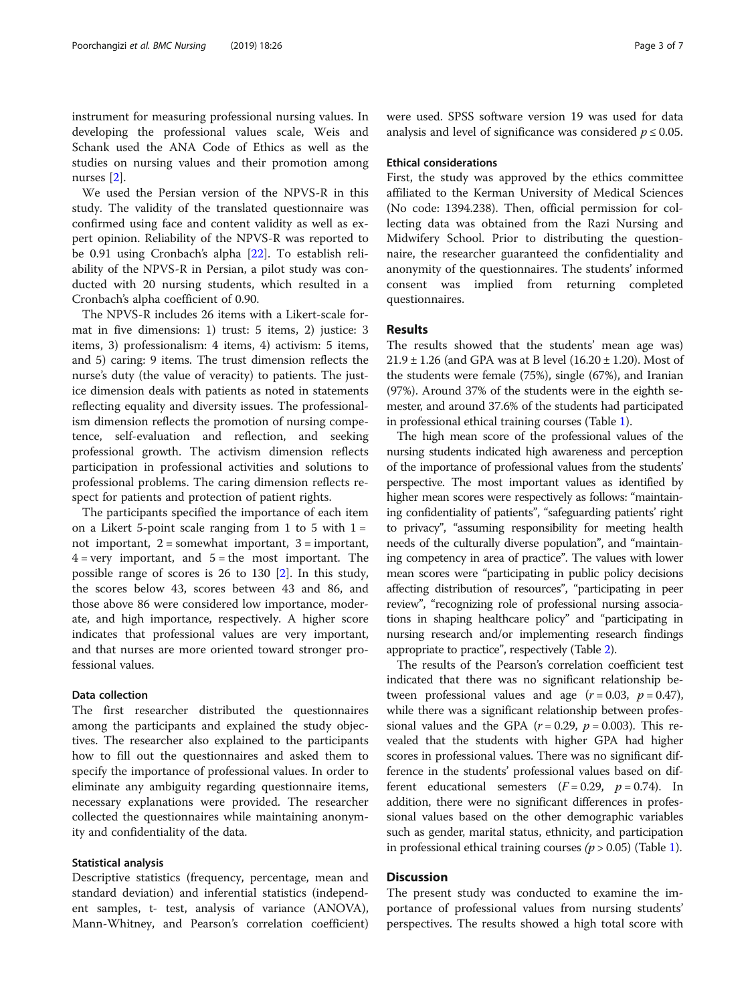instrument for measuring professional nursing values. In developing the professional values scale, Weis and Schank used the ANA Code of Ethics as well as the studies on nursing values and their promotion among nurses [\[2](#page-5-0)].

We used the Persian version of the NPVS-R in this study. The validity of the translated questionnaire was confirmed using face and content validity as well as expert opinion. Reliability of the NPVS-R was reported to be 0.91 using Cronbach's alpha [[22\]](#page-6-0). To establish reliability of the NPVS-R in Persian, a pilot study was conducted with 20 nursing students, which resulted in a Cronbach's alpha coefficient of 0.90.

The NPVS-R includes 26 items with a Likert-scale format in five dimensions: 1) trust: 5 items, 2) justice: 3 items, 3) professionalism: 4 items, 4) activism: 5 items, and 5) caring: 9 items. The trust dimension reflects the nurse's duty (the value of veracity) to patients. The justice dimension deals with patients as noted in statements reflecting equality and diversity issues. The professionalism dimension reflects the promotion of nursing competence, self-evaluation and reflection, and seeking professional growth. The activism dimension reflects participation in professional activities and solutions to professional problems. The caring dimension reflects respect for patients and protection of patient rights.

The participants specified the importance of each item on a Likert 5-point scale ranging from 1 to 5 with  $1 =$ not important,  $2 =$  somewhat important,  $3 =$  important,  $4 = very$  important, and  $5 = the$  most important. The possible range of scores is 26 to 130 [\[2](#page-5-0)]. In this study, the scores below 43, scores between 43 and 86, and those above 86 were considered low importance, moderate, and high importance, respectively. A higher score indicates that professional values are very important, and that nurses are more oriented toward stronger professional values.

#### Data collection

The first researcher distributed the questionnaires among the participants and explained the study objectives. The researcher also explained to the participants how to fill out the questionnaires and asked them to specify the importance of professional values. In order to eliminate any ambiguity regarding questionnaire items, necessary explanations were provided. The researcher collected the questionnaires while maintaining anonymity and confidentiality of the data.

#### Statistical analysis

Descriptive statistics (frequency, percentage, mean and standard deviation) and inferential statistics (independent samples, t- test, analysis of variance (ANOVA), Mann-Whitney, and Pearson's correlation coefficient)

were used. SPSS software version 19 was used for data analysis and level of significance was considered  $p \leq 0.05$ .

#### Ethical considerations

First, the study was approved by the ethics committee affiliated to the Kerman University of Medical Sciences (No code: 1394.238). Then, official permission for collecting data was obtained from the Razi Nursing and Midwifery School. Prior to distributing the questionnaire, the researcher guaranteed the confidentiality and anonymity of the questionnaires. The students' informed consent was implied from returning completed questionnaires.

## Results

The results showed that the students' mean age was)  $21.9 \pm 1.26$  (and GPA was at B level (16.20  $\pm$  1.20). Most of the students were female (75%), single (67%), and Iranian (97%). Around 37% of the students were in the eighth semester, and around 37.6% of the students had participated in professional ethical training courses (Table [1\)](#page-3-0).

The high mean score of the professional values of the nursing students indicated high awareness and perception of the importance of professional values from the students' perspective. The most important values as identified by higher mean scores were respectively as follows: "maintaining confidentiality of patients", "safeguarding patients' right to privacy", "assuming responsibility for meeting health needs of the culturally diverse population", and "maintaining competency in area of practice". The values with lower mean scores were "participating in public policy decisions affecting distribution of resources", "participating in peer review", "recognizing role of professional nursing associations in shaping healthcare policy" and "participating in nursing research and/or implementing research findings appropriate to practice", respectively (Table [2](#page-3-0)).

The results of the Pearson's correlation coefficient test indicated that there was no significant relationship between professional values and age  $(r = 0.03, p = 0.47)$ , while there was a significant relationship between professional values and the GPA ( $r = 0.29$ ,  $p = 0.003$ ). This revealed that the students with higher GPA had higher scores in professional values. There was no significant difference in the students' professional values based on different educational semesters  $(F = 0.29, p = 0.74)$ . In addition, there were no significant differences in professional values based on the other demographic variables such as gender, marital status, ethnicity, and participation in professional ethical training courses  $(p > 0.05)$  (Table [1](#page-3-0)).

#### Discussion

The present study was conducted to examine the importance of professional values from nursing students' perspectives. The results showed a high total score with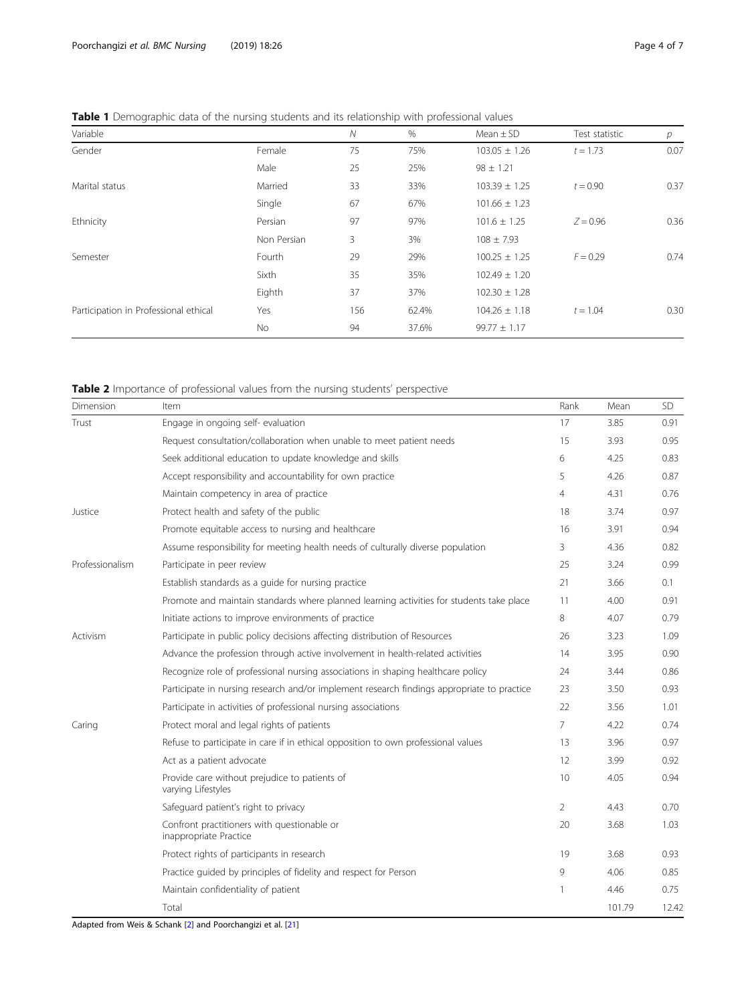<span id="page-3-0"></span>

| Variable                              |             | ${\cal N}$ | %     | Mean $\pm$ SD     | Test statistic | р    |
|---------------------------------------|-------------|------------|-------|-------------------|----------------|------|
| Gender                                | Female      | 75         | 75%   | $103.05 \pm 1.26$ | $t = 1.73$     | 0.07 |
|                                       | Male        | 25         | 25%   | $98 \pm 1.21$     |                |      |
| Marital status                        | Married     | 33         | 33%   | $103.39 \pm 1.25$ | $t = 0.90$     | 0.37 |
|                                       | Single      | 67         | 67%   | $101.66 \pm 1.23$ |                |      |
| Ethnicity                             | Persian     | 97         | 97%   | $101.6 \pm 1.25$  | $Z = 0.96$     | 0.36 |
|                                       | Non Persian | 3          | 3%    | $108 \pm 7.93$    |                |      |
| Semester                              | Fourth      | 29         | 29%   | $100.25 \pm 1.25$ | $F = 0.29$     | 0.74 |
|                                       | Sixth       | 35         | 35%   | $102.49 \pm 1.20$ |                |      |
|                                       | Eighth      | 37         | 37%   | $102.30 \pm 1.28$ |                |      |
| Participation in Professional ethical | Yes         | 156        | 62.4% | $104.26 \pm 1.18$ | $t = 1.04$     | 0.30 |
|                                       | No          | 94         | 37.6% | $99.77 \pm 1.17$  |                |      |

Table 2 Importance of professional values from the nursing students' perspective

| Dimension       | Item                                                                                       | Rank           | Mean   | <b>SD</b> |
|-----------------|--------------------------------------------------------------------------------------------|----------------|--------|-----------|
| Trust           | Engage in ongoing self- evaluation                                                         | 17             | 3.85   | 0.91      |
|                 | Request consultation/collaboration when unable to meet patient needs                       | 15             | 3.93   | 0.95      |
|                 | Seek additional education to update knowledge and skills                                   | 6              | 4.25   | 0.83      |
|                 | Accept responsibility and accountability for own practice                                  | 5              | 4.26   | 0.87      |
|                 | Maintain competency in area of practice                                                    | $\overline{4}$ | 4.31   | 0.76      |
| Justice         | Protect health and safety of the public                                                    | 18             | 3.74   | 0.97      |
|                 | Promote equitable access to nursing and healthcare                                         | 16             | 3.91   | 0.94      |
|                 | Assume responsibility for meeting health needs of culturally diverse population            | 3              | 4.36   | 0.82      |
| Professionalism | Participate in peer review                                                                 | 25             | 3.24   | 0.99      |
|                 | Establish standards as a guide for nursing practice                                        | 21             | 3.66   | 0.1       |
|                 | Promote and maintain standards where planned learning activities for students take place   | 11             | 4.00   | 0.91      |
|                 | Initiate actions to improve environments of practice                                       | 8              | 4.07   | 0.79      |
| Activism        | Participate in public policy decisions affecting distribution of Resources                 | 26             | 3.23   | 1.09      |
|                 | Advance the profession through active involvement in health-related activities             | 14             | 3.95   | 0.90      |
|                 | Recognize role of professional nursing associations in shaping healthcare policy           | 24             | 3.44   | 0.86      |
|                 | Participate in nursing research and/or implement research findings appropriate to practice | 23             | 3.50   | 0.93      |
|                 | Participate in activities of professional nursing associations                             | 22             | 3.56   | 1.01      |
| Caring          | Protect moral and legal rights of patients                                                 | $\overline{7}$ | 4.22   | 0.74      |
|                 | Refuse to participate in care if in ethical opposition to own professional values          | 13             | 3.96   | 0.97      |
|                 | Act as a patient advocate                                                                  | 12             | 3.99   | 0.92      |
|                 | Provide care without prejudice to patients of<br>varying Lifestyles                        | 10             | 4.05   | 0.94      |
|                 | Safeguard patient's right to privacy                                                       | $\overline{2}$ | 4.43   | 0.70      |
|                 | Confront practitioners with questionable or<br>inappropriate Practice                      | 20             | 3.68   | 1.03      |
|                 | Protect rights of participants in research                                                 | 19             | 3.68   | 0.93      |
|                 | Practice guided by principles of fidelity and respect for Person                           | 9              | 4.06   | 0.85      |
|                 | Maintain confidentiality of patient                                                        | 1              | 4.46   | 0.75      |
|                 | Total                                                                                      |                | 101.79 | 12.42     |

Adapted from Weis & Schank [\[2\]](#page-5-0) and Poorchangizi et al. [[21\]](#page-6-0)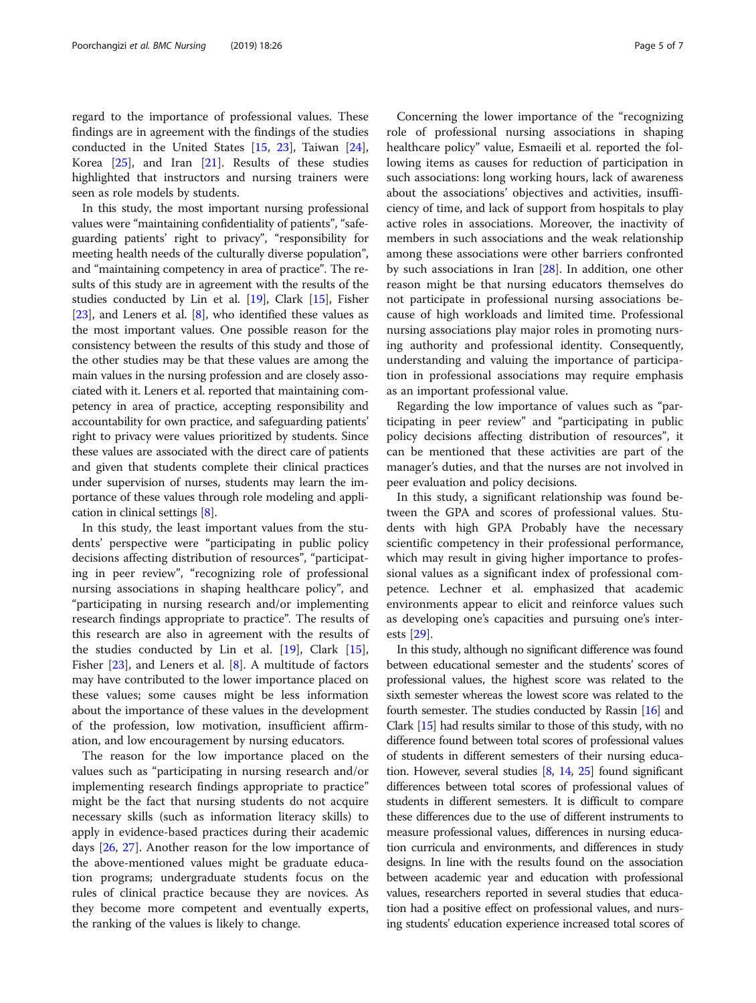regard to the importance of professional values. These findings are in agreement with the findings of the studies conducted in the United States [[15,](#page-6-0) [23\]](#page-6-0), Taiwan [\[24](#page-6-0)], Korea  $[25]$  $[25]$ , and Iran  $[21]$  $[21]$  $[21]$ . Results of these studies highlighted that instructors and nursing trainers were seen as role models by students.

In this study, the most important nursing professional values were "maintaining confidentiality of patients", "safeguarding patients' right to privacy", "responsibility for meeting health needs of the culturally diverse population", and "maintaining competency in area of practice". The results of this study are in agreement with the results of the studies conducted by Lin et al. [\[19\]](#page-6-0), Clark [[15](#page-6-0)], Fisher [[23](#page-6-0)], and Leners et al. [\[8\]](#page-6-0), who identified these values as the most important values. One possible reason for the consistency between the results of this study and those of the other studies may be that these values are among the main values in the nursing profession and are closely associated with it. Leners et al. reported that maintaining competency in area of practice, accepting responsibility and accountability for own practice, and safeguarding patients' right to privacy were values prioritized by students. Since these values are associated with the direct care of patients and given that students complete their clinical practices under supervision of nurses, students may learn the importance of these values through role modeling and application in clinical settings [\[8\]](#page-6-0).

In this study, the least important values from the students' perspective were "participating in public policy decisions affecting distribution of resources", "participating in peer review", "recognizing role of professional nursing associations in shaping healthcare policy", and "participating in nursing research and/or implementing research findings appropriate to practice". The results of this research are also in agreement with the results of the studies conducted by Lin et al. [\[19](#page-6-0)], Clark [\[15](#page-6-0)], Fisher [\[23](#page-6-0)], and Leners et al. [[8\]](#page-6-0). A multitude of factors may have contributed to the lower importance placed on these values; some causes might be less information about the importance of these values in the development of the profession, low motivation, insufficient affirmation, and low encouragement by nursing educators.

The reason for the low importance placed on the values such as "participating in nursing research and/or implementing research findings appropriate to practice" might be the fact that nursing students do not acquire necessary skills (such as information literacy skills) to apply in evidence-based practices during their academic days [\[26,](#page-6-0) [27](#page-6-0)]. Another reason for the low importance of the above-mentioned values might be graduate education programs; undergraduate students focus on the rules of clinical practice because they are novices. As they become more competent and eventually experts, the ranking of the values is likely to change.

Concerning the lower importance of the "recognizing role of professional nursing associations in shaping healthcare policy" value, Esmaeili et al. reported the following items as causes for reduction of participation in such associations: long working hours, lack of awareness about the associations' objectives and activities, insufficiency of time, and lack of support from hospitals to play active roles in associations. Moreover, the inactivity of members in such associations and the weak relationship among these associations were other barriers confronted by such associations in Iran [[28\]](#page-6-0). In addition, one other reason might be that nursing educators themselves do not participate in professional nursing associations because of high workloads and limited time. Professional nursing associations play major roles in promoting nursing authority and professional identity. Consequently, understanding and valuing the importance of participation in professional associations may require emphasis as an important professional value.

Regarding the low importance of values such as "participating in peer review" and "participating in public policy decisions affecting distribution of resources", it can be mentioned that these activities are part of the manager's duties, and that the nurses are not involved in peer evaluation and policy decisions.

In this study, a significant relationship was found between the GPA and scores of professional values. Students with high GPA Probably have the necessary scientific competency in their professional performance, which may result in giving higher importance to professional values as a significant index of professional competence. Lechner et al. emphasized that academic environments appear to elicit and reinforce values such as developing one's capacities and pursuing one's interests [\[29\]](#page-6-0).

In this study, although no significant difference was found between educational semester and the students' scores of professional values, the highest score was related to the sixth semester whereas the lowest score was related to the fourth semester. The studies conducted by Rassin [\[16\]](#page-6-0) and Clark [[15](#page-6-0)] had results similar to those of this study, with no difference found between total scores of professional values of students in different semesters of their nursing education. However, several studies [\[8,](#page-6-0) [14,](#page-6-0) [25](#page-6-0)] found significant differences between total scores of professional values of students in different semesters. It is difficult to compare these differences due to the use of different instruments to measure professional values, differences in nursing education curricula and environments, and differences in study designs. In line with the results found on the association between academic year and education with professional values, researchers reported in several studies that education had a positive effect on professional values, and nursing students' education experience increased total scores of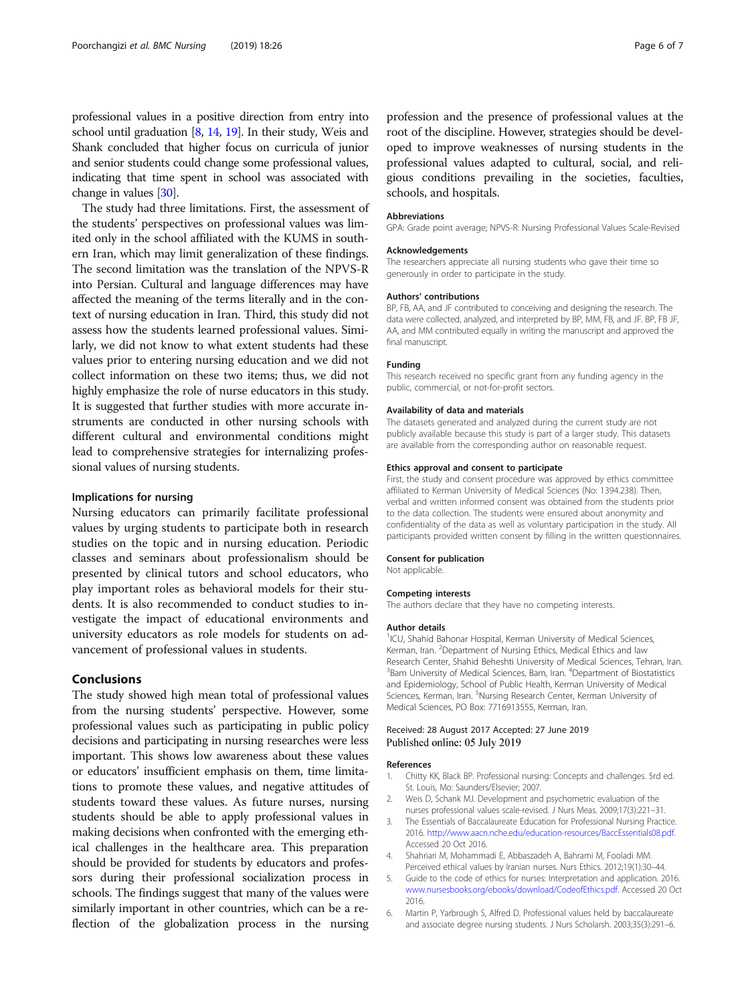<span id="page-5-0"></span>The study had three limitations. First, the assessment of the students' perspectives on professional values was limited only in the school affiliated with the KUMS in southern Iran, which may limit generalization of these findings. The second limitation was the translation of the NPVS-R into Persian. Cultural and language differences may have affected the meaning of the terms literally and in the context of nursing education in Iran. Third, this study did not assess how the students learned professional values. Similarly, we did not know to what extent students had these values prior to entering nursing education and we did not collect information on these two items; thus, we did not highly emphasize the role of nurse educators in this study. It is suggested that further studies with more accurate instruments are conducted in other nursing schools with different cultural and environmental conditions might lead to comprehensive strategies for internalizing professional values of nursing students.

#### Implications for nursing

Nursing educators can primarily facilitate professional values by urging students to participate both in research studies on the topic and in nursing education. Periodic classes and seminars about professionalism should be presented by clinical tutors and school educators, who play important roles as behavioral models for their students. It is also recommended to conduct studies to investigate the impact of educational environments and university educators as role models for students on advancement of professional values in students.

### Conclusions

The study showed high mean total of professional values from the nursing students' perspective. However, some professional values such as participating in public policy decisions and participating in nursing researches were less important. This shows low awareness about these values or educators' insufficient emphasis on them, time limitations to promote these values, and negative attitudes of students toward these values. As future nurses, nursing students should be able to apply professional values in making decisions when confronted with the emerging ethical challenges in the healthcare area. This preparation should be provided for students by educators and professors during their professional socialization process in schools. The findings suggest that many of the values were similarly important in other countries, which can be a reflection of the globalization process in the nursing

profession and the presence of professional values at the root of the discipline. However, strategies should be developed to improve weaknesses of nursing students in the professional values adapted to cultural, social, and religious conditions prevailing in the societies, faculties, schools, and hospitals.

#### Abbreviations

GPA: Grade point average; NPVS-R: Nursing Professional Values Scale-Revised

#### Acknowledgements

The researchers appreciate all nursing students who gave their time so generously in order to participate in the study.

#### Authors' contributions

BP, FB, AA, and JF contributed to conceiving and designing the research. The data were collected, analyzed, and interpreted by BP, MM, FB, and JF. BP, FB JF, AA, and MM contributed equally in writing the manuscript and approved the final manuscript.

#### Funding

This research received no specific grant from any funding agency in the public, commercial, or not-for-profit sectors.

#### Availability of data and materials

The datasets generated and analyzed during the current study are not publicly available because this study is part of a larger study. This datasets are available from the corresponding author on reasonable request.

#### Ethics approval and consent to participate

First, the study and consent procedure was approved by ethics committee affiliated to Kerman University of Medical Sciences (No: 1394.238). Then, verbal and written informed consent was obtained from the students prior to the data collection. The students were ensured about anonymity and confidentiality of the data as well as voluntary participation in the study. All participants provided written consent by filling in the written questionnaires.

#### Consent for publication

Not applicable.

#### Competing interests

The authors declare that they have no competing interests.

#### Author details

<sup>1</sup>ICU, Shahid Bahonar Hospital, Kerman University of Medical Sciences, Kerman, Iran. <sup>2</sup>Department of Nursing Ethics, Medical Ethics and law Research Center, Shahid Beheshti University of Medical Sciences, Tehran, Iran. <sup>3</sup>Bam University of Medical Sciences, Bam, Iran. <sup>4</sup>Department of Biostatistics and Epidemiology, School of Public Health, Kerman University of Medical Sciences, Kerman, Iran. <sup>5</sup>Nursing Research Center, Kerman University of Medical Sciences, PO Box: 7716913555, Kerman, Iran.

#### Received: 28 August 2017 Accepted: 27 June 2019 Published online: 05 July 2019

#### References

- 1. Chitty KK, Black BP. Professional nursing: Concepts and challenges. 5rd ed. St. Louis, Mo: Saunders/Elsevier; 2007.
- 2. Weis D, Schank MJ. Development and psychometric evaluation of the nurses professional values scale-revised. J Nurs Meas. 2009;17(3):221–31.
- The Essentials of Baccalaureate Education for Professional Nursing Practice. 2016. <http://www.aacn.nche.edu/education-resources/BaccEssentials08.pdf>. Accessed 20 Oct 2016.
- 4. Shahriari M, Mohammadi E, Abbaszadeh A, Bahrami M, Fooladi MM. Perceived ethical values by Iranian nurses. Nurs Ethics. 2012;19(1):30–44.
- 5. Guide to the code of ethics for nurses: Interpretation and application. 2016. [www.nursesbooks.org/ebooks/download/CodeofEthics.pdf.](http://www.nursesbooks.org/ebooks/download/CodeofEthics.pdf) Accessed 20 Oct 2016.
- 6. Martin P, Yarbrough S, Alfred D. Professional values held by baccalaureate and associate degree nursing students. J Nurs Scholarsh. 2003;35(3):291–6.